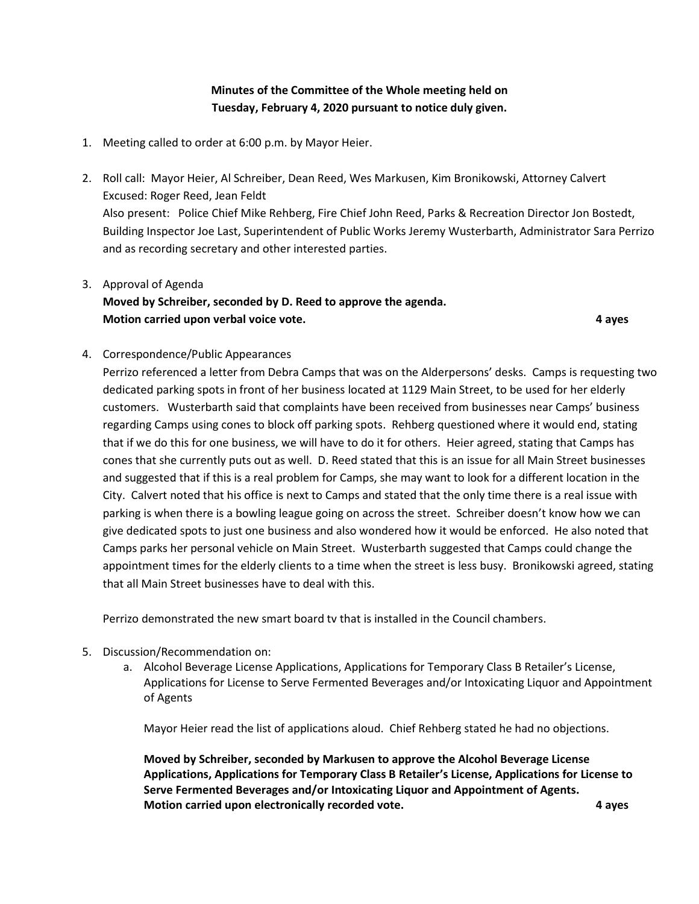**Minutes of the Committee of the Whole meeting held on Tuesday, February 4, 2020 pursuant to notice duly given.**

- 1. Meeting called to order at 6:00 p.m. by Mayor Heier.
- 2. Roll call: Mayor Heier, Al Schreiber, Dean Reed, Wes Markusen, Kim Bronikowski, Attorney Calvert Excused: Roger Reed, Jean Feldt Also present: Police Chief Mike Rehberg, Fire Chief John Reed, Parks & Recreation Director Jon Bostedt, Building Inspector Joe Last, Superintendent of Public Works Jeremy Wusterbarth, Administrator Sara Perrizo and as recording secretary and other interested parties.
- 3. Approval of Agenda **Moved by Schreiber, seconded by D. Reed to approve the agenda. Motion carried upon verbal voice vote. 4 ayes**

### 4. Correspondence/Public Appearances

Perrizo referenced a letter from Debra Camps that was on the Alderpersons' desks. Camps is requesting two dedicated parking spots in front of her business located at 1129 Main Street, to be used for her elderly customers. Wusterbarth said that complaints have been received from businesses near Camps' business regarding Camps using cones to block off parking spots. Rehberg questioned where it would end, stating that if we do this for one business, we will have to do it for others. Heier agreed, stating that Camps has cones that she currently puts out as well. D. Reed stated that this is an issue for all Main Street businesses and suggested that if this is a real problem for Camps, she may want to look for a different location in the City. Calvert noted that his office is next to Camps and stated that the only time there is a real issue with parking is when there is a bowling league going on across the street. Schreiber doesn't know how we can give dedicated spots to just one business and also wondered how it would be enforced. He also noted that Camps parks her personal vehicle on Main Street. Wusterbarth suggested that Camps could change the appointment times for the elderly clients to a time when the street is less busy. Bronikowski agreed, stating that all Main Street businesses have to deal with this.

Perrizo demonstrated the new smart board tv that is installed in the Council chambers.

- 5. Discussion/Recommendation on:
	- a. Alcohol Beverage License Applications, Applications for Temporary Class B Retailer's License, Applications for License to Serve Fermented Beverages and/or Intoxicating Liquor and Appointment of Agents

Mayor Heier read the list of applications aloud. Chief Rehberg stated he had no objections.

**Moved by Schreiber, seconded by Markusen to approve the Alcohol Beverage License Applications, Applications for Temporary Class B Retailer's License, Applications for License to Serve Fermented Beverages and/or Intoxicating Liquor and Appointment of Agents. Motion carried upon electronically recorded vote. 4 ayes**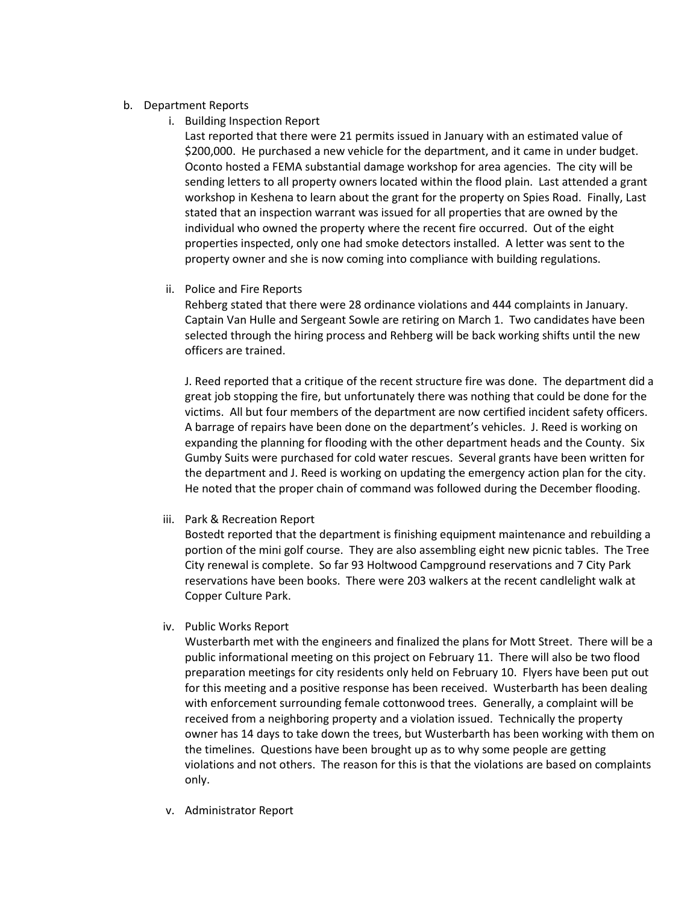### b. Department Reports

i. Building Inspection Report

Last reported that there were 21 permits issued in January with an estimated value of \$200,000. He purchased a new vehicle for the department, and it came in under budget. Oconto hosted a FEMA substantial damage workshop for area agencies. The city will be sending letters to all property owners located within the flood plain. Last attended a grant workshop in Keshena to learn about the grant for the property on Spies Road. Finally, Last stated that an inspection warrant was issued for all properties that are owned by the individual who owned the property where the recent fire occurred. Out of the eight properties inspected, only one had smoke detectors installed. A letter was sent to the property owner and she is now coming into compliance with building regulations.

#### ii. Police and Fire Reports

Rehberg stated that there were 28 ordinance violations and 444 complaints in January. Captain Van Hulle and Sergeant Sowle are retiring on March 1. Two candidates have been selected through the hiring process and Rehberg will be back working shifts until the new officers are trained.

J. Reed reported that a critique of the recent structure fire was done. The department did a great job stopping the fire, but unfortunately there was nothing that could be done for the victims. All but four members of the department are now certified incident safety officers. A barrage of repairs have been done on the department's vehicles. J. Reed is working on expanding the planning for flooding with the other department heads and the County. Six Gumby Suits were purchased for cold water rescues. Several grants have been written for the department and J. Reed is working on updating the emergency action plan for the city. He noted that the proper chain of command was followed during the December flooding.

iii. Park & Recreation Report

Bostedt reported that the department is finishing equipment maintenance and rebuilding a portion of the mini golf course. They are also assembling eight new picnic tables. The Tree City renewal is complete. So far 93 Holtwood Campground reservations and 7 City Park reservations have been books. There were 203 walkers at the recent candlelight walk at Copper Culture Park.

iv. Public Works Report

Wusterbarth met with the engineers and finalized the plans for Mott Street. There will be a public informational meeting on this project on February 11. There will also be two flood preparation meetings for city residents only held on February 10. Flyers have been put out for this meeting and a positive response has been received. Wusterbarth has been dealing with enforcement surrounding female cottonwood trees. Generally, a complaint will be received from a neighboring property and a violation issued. Technically the property owner has 14 days to take down the trees, but Wusterbarth has been working with them on the timelines. Questions have been brought up as to why some people are getting violations and not others. The reason for this is that the violations are based on complaints only.

v. Administrator Report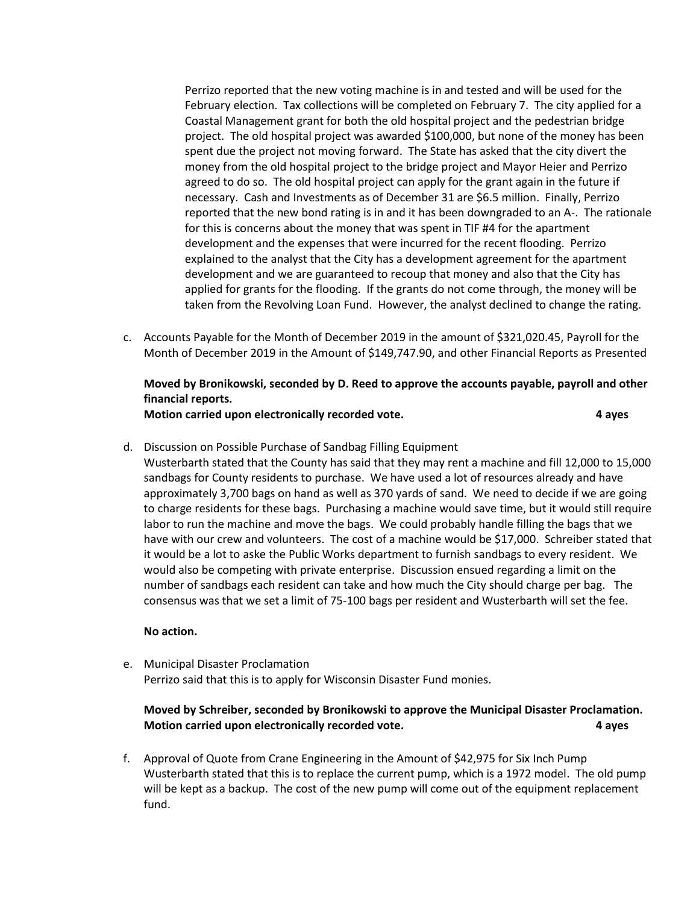Perrizo reported that the new voting machine is in and tested and will be used for the February election. Tax collections will be completed on February 7. The city applied for a Coastal Management grant for both the old hospital project and the pedestrian bridge project. The old hospital project was awarded \$100,000, but none of the money has been spent due the project not moving forward. The State has asked that the city divert the money from the old hospital project to the bridge project and Mayor Heier and Perrizo agreed to do so. The old hospital project can apply for the grant again in the future if necessary. Cash and Investments as of December 31 are \$6.5 million. Finally, Perrizo reported that the new bond rating is in and it has been downgraded to an A-. The rationale for this is concerns about the money that was spent in TIF #4 for the apartment development and the expenses that were incurred for the recent flooding. Perrizo explained to the analyst that the City has a development agreement for the apartment development and we are guaranteed to recoup that money and also that the City has applied for grants for the flooding. If the grants do not come through, the money will be taken from the Revolving Loan Fund. However, the analyst declined to change the rating.

c. Accounts Payable for the Month of December 2019 in the amount of \$321,020.45, Payroll for the Month of December 2019 in the Amount of \$149,747.90, and other Financial Reports as Presented

# **Moved by Bronikowski, seconded by D. Reed to approve the accounts payable, payroll and other financial reports.**

**Motion carried upon electronically recorded vote. 4 ayes**

d. Discussion on Possible Purchase of Sandbag Filling Equipment

Wusterbarth stated that the County has said that they may rent a machine and fill 12,000 to 15,000 sandbags for County residents to purchase. We have used a lot of resources already and have approximately 3,700 bags on hand as well as 370 yards of sand. We need to decide if we are going to charge residents for these bags. Purchasing a machine would save time, but it would still require labor to run the machine and move the bags. We could probably handle filling the bags that we have with our crew and volunteers. The cost of a machine would be \$17,000. Schreiber stated that it would be a lot to aske the Public Works department to furnish sandbags to every resident. We would also be competing with private enterprise. Discussion ensued regarding a limit on the number of sandbags each resident can take and how much the City should charge per bag. The consensus was that we set a limit of 75-100 bags per resident and Wusterbarth will set the fee.

### **No action.**

e. Municipal Disaster Proclamation Perrizo said that this is to apply for Wisconsin Disaster Fund monies.

## **Moved by Schreiber, seconded by Bronikowski to approve the Municipal Disaster Proclamation. Motion carried upon electronically recorded vote. 4 ayes**

f. Approval of Quote from Crane Engineering in the Amount of \$42,975 for Six Inch Pump Wusterbarth stated that this is to replace the current pump, which is a 1972 model. The old pump will be kept as a backup. The cost of the new pump will come out of the equipment replacement fund.